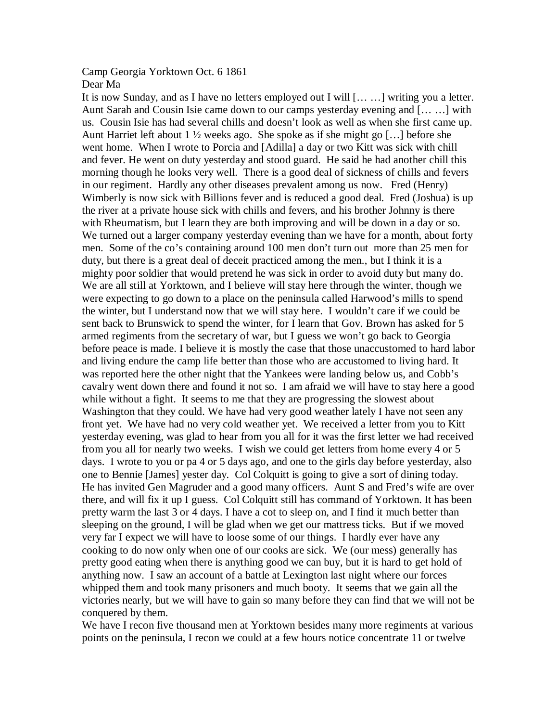## Camp Georgia Yorktown Oct. 6 1861 Dear Ma

It is now Sunday, and as I have no letters employed out I will [… …] writing you a letter. Aunt Sarah and Cousin Isie came down to our camps yesterday evening and [… …] with us. Cousin Isie has had several chills and doesn't look as well as when she first came up. Aunt Harriet left about 1 ½ weeks ago. She spoke as if she might go […] before she went home. When I wrote to Porcia and [Adilla] a day or two Kitt was sick with chill and fever. He went on duty yesterday and stood guard. He said he had another chill this morning though he looks very well. There is a good deal of sickness of chills and fevers in our regiment. Hardly any other diseases prevalent among us now. Fred (Henry) Wimberly is now sick with Billions fever and is reduced a good deal. Fred (Joshua) is up the river at a private house sick with chills and fevers, and his brother Johnny is there with Rheumatism, but I learn they are both improving and will be down in a day or so. We turned out a larger company yesterday evening than we have for a month, about forty men. Some of the co's containing around 100 men don't turn out more than 25 men for duty, but there is a great deal of deceit practiced among the men., but I think it is a mighty poor soldier that would pretend he was sick in order to avoid duty but many do. We are all still at Yorktown, and I believe will stay here through the winter, though we were expecting to go down to a place on the peninsula called Harwood's mills to spend the winter, but I understand now that we will stay here. I wouldn't care if we could be sent back to Brunswick to spend the winter, for I learn that Gov. Brown has asked for 5 armed regiments from the secretary of war, but I guess we won't go back to Georgia before peace is made. I believe it is mostly the case that those unaccustomed to hard labor and living endure the camp life better than those who are accustomed to living hard. It was reported here the other night that the Yankees were landing below us, and Cobb's cavalry went down there and found it not so. I am afraid we will have to stay here a good while without a fight. It seems to me that they are progressing the slowest about Washington that they could. We have had very good weather lately I have not seen any front yet. We have had no very cold weather yet. We received a letter from you to Kitt yesterday evening, was glad to hear from you all for it was the first letter we had received from you all for nearly two weeks. I wish we could get letters from home every 4 or 5 days. I wrote to you or pa 4 or 5 days ago, and one to the girls day before yesterday, also one to Bennie [James] yester day. Col Colquitt is going to give a sort of dining today. He has invited Gen Magruder and a good many officers. Aunt S and Fred's wife are over there, and will fix it up I guess. Col Colquitt still has command of Yorktown. It has been pretty warm the last 3 or 4 days. I have a cot to sleep on, and I find it much better than sleeping on the ground, I will be glad when we get our mattress ticks. But if we moved very far I expect we will have to loose some of our things. I hardly ever have any cooking to do now only when one of our cooks are sick. We (our mess) generally has pretty good eating when there is anything good we can buy, but it is hard to get hold of anything now. I saw an account of a battle at Lexington last night where our forces whipped them and took many prisoners and much booty. It seems that we gain all the victories nearly, but we will have to gain so many before they can find that we will not be conquered by them.

We have I recon five thousand men at Yorktown besides many more regiments at various points on the peninsula, I recon we could at a few hours notice concentrate 11 or twelve